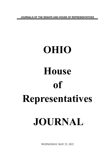**JOURNALS OF THE SENATE AND HOUSE OF REPRESENTATIVES**

# **OHIO House of Representatives JOURNAL**

WEDNESDAY, MAY 25, 2022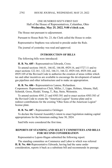### ONE HUNDRED SIXTY-FIRST DAY Hall of the House of Representatives, Columbus, Ohio **Wednesday, May 25, 2022, 9:00 o'clock a.m.**

The House met pursuant to adjournment.

Pursuant to House Rule No. 23, the Clerk called the House to order.

Representative Stephens was selected to preside under the Rule.

The journal of yesterday was read and approved.

### **INTRODUCTION OF BILLS**

The following bills were introduced:

**H. B. No. 685 -** Representatives Edwards, Cross.

To amend sections 166.01, 166.02, 166.08, 4929.16, and 5727.11 and to enact sections 122.161, 122.162, 166.31, 166.32, 4929.164, 4929.168, and 4929.169 of the Revised Code to authorize the creation of areas within which tax and other incentives are available to encourage the development of natural gas pipelines and other infrastructure and to make an appropriation.

**H. B. No. 686 -** Representatives Lanese, Richardson. Cosponsors: Representatives Click, Miller, J., Lipps, Holmes, Abrams, Hall, Schmidt, Gross, Riedel, Young, T., Ray, Stein, Weinstein.

To amend sections 4501.21 and 4503.581 and to enact section 4503.583 of the Revised Code to create the "American Legion" license plate and to redirect contributions for the existing "Ohio Sons of the American Legion" license plate.

**H. B. No. 687 -** Representative Oelslager.

To declare the General Assembly's intent to enact legislation making capital appropriations for the biennium ending June 30, 2024.

Said bills were considered the first time.

### **REPORTS OF STANDING AND SELECT COMMITTEES AND BILLS FOR SECOND CONSIDERATION**

Representative Lepore-Hagan submitted the following report:

The standing committee on Commerce and Labor to which was referred **H. B. No. 466**-Representative Edwards, having had the same under consideration, reports it back as a substitute bill and recommends its passage.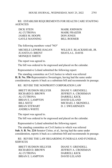RE: ESTABLISH REQUIREMENTS FOR HEALTH CARE STAFFING **AGENCIES** 

| DICK STEIN     | <b>MARK JOHNSON</b> |
|----------------|---------------------|
| AL CUTRONA     | <b>MARK FRAIZER</b> |
| JAMES M. HOOPS | <b>DON JONES</b>    |
| GAYLE MANNING- | <b>BILL ROEMER</b>  |

The following members voted "NO"

MICHELE LEPORE-HAGAN WILLIS E. BLACKSHEAR, JR. JUANITA O. BRENT SHAYLA L. DAVIS MONIQUE SMITH

The report was agreed to.

The bill was ordered to be engrossed and placed on the calendar.

Representative Leland submitted the following report:

The standing committee on Civil Justice to which was referred **H. B. No. 556**-Representative Swearingen, having had the same under consideration, reports it back as a substitute bill and recommends its passage.

RE: REVISE THE NONPROFIT CORPORATION LAW

| <b>BRETT HUDSON HILLYEI</b> |  |
|-----------------------------|--|
| RICHARD D. BROWN            |  |
| AL CUTRONA                  |  |
| BRIAN E. LAMPTON            |  |
| <b>BILL SEITZ</b>           |  |
| <b>BRIAN STEWART</b>        |  |
| <b>ANDREA WHITE</b>         |  |

R
BIANE V. GRENDELL JEFFREY A. CROSSMAN DARRELL KICK DAVID LELAND MICHAEL J. SKINDELL D. J. SWEARINGEN

The report was agreed to.

The bill was ordered to be engrossed and placed on the calendar.

Representative Leland submitted the following report:

The standing committee on Civil Justice to which was referred **Sub. S. B. No. 224**-Senator Cirino, et al., having had the same under consideration, reports it back as a substitute bill and recommends its passage.

RE: REVISE THE LAW REGARDING FUNERALS AND FUNERAL **SERVICES** 

BRETT HUDSON HILLYER DIANE V. GRENDELL RICHARD D. BROWN JEFFREY A. CROSSMAN AL CUTRONA DARRELL KICK BRIAN E. LAMPTON DAVID LELAND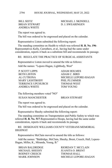## ANDREA WHITE

### BILL SEITZ MICHAEL J. SKINDELL BRIAN STEWART D. J. SWEARINGEN

The report was agreed to.

The bill was ordered to be engrossed and placed on the calendar.

Representative Liston submitted the following report:

The standing committee on Health to which was referred **H. B. No. 196**- Representatives Kelly, Carruthers, et al., having had the same under consideration, reports it back as a substitute bill and recommends its passage.

RE: REGULATE THE PRACTICE OF SURGICAL ASSISTANTS

Representative Liston moved to amend the title as follows:

Add the names: "Lepore-Hagan, Lightbody, West"

| P SCOTT LIPPS            |
|--------------------------|
| <b>BETH LISTON</b>       |
| AL CUTRONA               |
| <b>MARY LIGHTBODY</b>    |
| <b>TERRENCE UPCHURCH</b> |
| <b>ANDREA WHITE</b>      |
|                          |

**ADAM HOLMES** ADAM C. BIRD MICHELE LEPORE-HAGAN PHIL PLUMMER THOMAS WEST TOM YOUNG

The following members voted "NO"

SUSAN MANCHESTER BRIAN STEWART

The report was agreed to.

The bill was ordered to be engrossed and placed on the calendar.

Representative Sheehy submitted the following report:

The standing committee on Transportation and Public Safety to which was referred **H. B. No. 517**-Representative Hoops, having had the same under consideration, reports it back and recommends its passage.

RE: DESIGNATE WILLIAMS COUNTY VETERANS MEMORIAL **HIGHWAY** 

Representative McClain moved to amend the title as follows:

Add the names: "Baldridge, McClain, Sheehy, Brent, Creech, Hall, Lepore-Hagan, Miller, K., Miranda, Young, B."

MICHAEL SHEEHY JUANITA O. BRENT RODNEY CREECH THOMAS HALL

BRIAN BALDRIDGE RIORDAN T. MCCLAIN MARK JOHNSON MICHELE LEPORE-HAGAN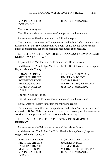### BOB YOUNG

### KEVIN D. MILLER JESSICA E. MIRANDA

The report was agreed to.

The bill was ordered to be engrossed and placed on the calendar.

Representative Sheehy submitted the following report:

The standing committee on Transportation and Public Safety to which was referred **H. B. No. 590**-Representative Boggs, et al., having had the same under consideration, reports it back and recommends its passage.

RE: DESIGNATE MURRAY EBNER, HOLOCAUST SURVIVOR AND KOREAN WAR VET HWY

Representative McClain moved to amend the title as follows:

Add the names: "Baldridge, McClain, Sheehy, Brent, Creech, Hall, Lepore-Hagan, Miranda, Young, B."

MICHAEL SHEEHY JUANITA O. BRENT RODNEY CREECH THOMAS HALL BOB YOUNG

BRIAN BALDRIDGE RIORDAN T. MCCLAIN MARK JOHNSON MICHELE LEPORE-HAGAN KEVIN D. MILLER JESSICA E. MIRANDA

The report was agreed to.

The bill was ordered to be engrossed and placed on the calendar.

Representative Sheehy submitted the following report:

The standing committee on Transportation and Public Safety to which was referred **H. B. No. 624**-Representative Dean, et al., having had the same under consideration, reports it back and recommends its passage.

RE: DESIGNATE FIREFIGHTER TOMMY REES MEMORIAL **HIGHWAY** 

Representative McClain moved to amend the title as follows:

Add the names: "Baldridge, McClain, Sheehy, Brent, Creech, Lepore-Hagan, Miranda, Young, B."

MICHAEL SHEEHY JUANITA O. BRENT RODNEY CREECH THOMAS HALL BOB YOUNG

BRIAN BALDRIDGE RIORDAN T. MCCLAIN MARK JOHNSON MICHELE LEPORE-HAGAN KEVIN D. MILLER JESSICA E. MIRANDA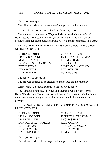The report was agreed to.

The bill was ordered to be engrossed and placed on the calendar.

Representative Sobecki submitted the following report:

The standing committee on Ways and Means to which was referred **H. B. No. 501**-Representative Hall, et al., having had the same under consideration, reports it back as a substitute bill and recommends its passage.

RE: AUTHORIZE PROPERTY TAXES FOR SCHOOL RESOURCE OFFICER SERVICES

DEREK MERRIN CRAIG S. RIEDEL LISA A. SOBECKI JEFFREY A. CROSSMAN MARK FRAIZER **THOMAS HALL** DONTAVIUS L. JARRELLS KRIS JORDAN BETH LISTON RIORDAN T. MCCLAIN JENA POWELL BILL ROEMER DANIEL P. TROY TOM YOUNG

The report was agreed to.

The bill was ordered to be engrossed and placed on the calendar.

Representative Sobecki submitted the following report:

The standing committee on Ways and Means to which was referred **H. B. No. 513**-Representatives Cross, Roemer, et al., having had the same under consideration, reports it back as a substitute bill and recommends its passage.

RE: REGARDS BAD DEBTS FOR CIGARETTE, TOBACCO, VAPOR PRODUCT TAXES

DEREK MERRIN CRAIG S. RIEDEL LISA A. SOBECKI JEFFREY A. CROSSMAN MARK FRAIZER **THOMAS HALL** DONTAVIUS L. JARRELLS KRIS JORDAN BETH LISTON RIORDAN T. MCCLAIN JENA POWELL BILL ROEMER DANIEL P. TROY TOM YOUNG

The report was agreed to.

The bill was ordered to be engrossed and placed on the calendar.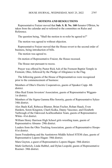### **MOTIONS AND RESOLUTIONS**

Representative Fraizer moved that **Sub. S. B. No. 160**-Senator O'Brien, be taken from the calendar and re-referred to the committee on Rules and Reference.

The question being, "Shall the motion to re-refer be agreed to?"

The motion was agreed to without objection.

Representative Fraizer moved that the House revert to the second order of business, being introduction of bills.

The motion was agreed to.

On motion of Representative Fraizer, the House recessed.

The House met pursuant to recess.

Prayer was offered by Pastor Rick Ash of the Fremont Baptist Temple in Fremont, Ohio, followed by the Pledge of Allegiance to the Flag.

The following guests of the House of Representatives were recognized prior to the commencement of business:

Members of Ohio's Electric Cooperatives, guests of Speaker Cupp- 4th district.

Ohio Real Estate Investors' Association, guests of Representative Wiggam-1st district.

Members of the Sigma Gamma Rho Sorority, guests of Representative Sykes-34th district.

Alex Baals Kall, Rebecca Blumer, Brian Fischer, Rohan Haack, Even Hardern, Soren Kingston, Charli Kulka, Danny Vasconez, and Elizabeth Yarbrough of the Oakwood AcaDecathalon Team, guests of Representative White- 41st district.

William Henry Harrison High School girls wrestling team, guests of Representative Abrams- 29th district.

Leaders from the Ohio Trucking Association, guests of Representative Hoops-81st district.

Jason Freudenberg and the Austintown Middle School STEM class, guests of Representative Lepore-Hagan- 58th district.

Mara Guyton, a guest of Representative Lepore-Hagan- 58th district.

Mark Gerberich, Linda Hubbel, and Dylan Leopold, guests of Representative Roemer- 38th district.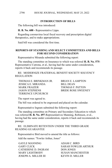### **INTRODUCTION OF BILLS**

The following bill was introduced:

**H. B. No. 688 -** Representative Lipps.

Regarding coronavirus local fiscal recovery and prescription digital therapeutics, and to make appropriations.

Said bill was considered the first time.

### **REPORTS OF STANDING AND SELECT COMMITTEES AND BILLS FOR SECOND CONSIDERATION**

Representative Miranda submitted the following report:

The standing committee on Insurance to which was referred **H. B. No. 575**- Representative Cutrona, et al., having had the same under consideration, reports it back and recommends its passage.

RE: MODERNIZE FRATERNAL BENEFIT SOCIETY SOLVENCY REGULATION

THOMAS E. BRINKMAN JR. BRIAN E. LAMPTON JESSICA E. MIRANDA BILL DEAN MARK FRAIZER **THOMAS F. PATTON** JASON STEPHENS BRIDE ROSE SWEENEY TERRENCE UPCHURCH

The report was agreed to.

The bill was ordered to be engrossed and placed on the calendar.

Representative Ingram submitted the following report:

The standing committee on Primary and Secondary Education to which was referred **H. B. No. 497**-Representatives Manning, Robinson, et al., having had the same under consideration, reports it back and recommends its passage.

RE: ELIMINATE RETENTION UNDER THE THIRD GRADE READING GUARANTEE

Representative Bird moved to amend the title as follows:

Add the names: "Fowler Arthur, Jones"

GAYLE MANNING ADAM C. BIRD CATHERINE D. INGRAM DON JONES MARY LIGHTBODY SUSAN MANCHESTER JOSEPH A. MILLER III KEVIN D. MILLER

GARY CLICK SARAH FOWLER ARTHUR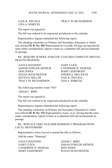### LISA A. SOBECKI

### GAIL K. PAVLIGA TRACY M. RICHARDSON

The report was agreed to.

The bill was ordered to be engrossed and placed on the calendar.

Representative Ingram submitted the following report:

The standing committee on Primary and Secondary Education to which was referred **H. B. No. 492**-Representatives Loychik, Pavliga, having had the same under consideration, reports it back as a substitute bill and recommends its passage.

RE: REQUIRE SCHOOL ATHLETIC COACHES COMPLETE MENTAL HEALTH TRAINING

GAYLE MANNING GARY CLICK SARAH FOWLER ARTHUR CATHERINE D. INGRAM DON JONES MARY LIGHTBODY SUSAN MANCHESTER JOSEPH A. MILLER III KEVIN D. MILLER GAIL K. PAVLIGA TRACY M. RICHARDSON LISA A. SOBECKI

The following member voted "NO"

ADAM C. BIRD

The report was agreed to.

The bill was ordered to be engrossed and placed on the calendar.

Representative Ingram submitted the following report:

The standing committee on Primary and Secondary Education to which was referred **H. B. No. 151**-Representative Jones, et al., having had the same under consideration, reports it back as a substitute bill and recommends its passage.

RE: REPLACE OHIO TEACHER RESIDENCY PROGRAM WITH LOCAL MENTORSHIP

Representative Jones moved to amend the title as follows:

Add the name: "Manning"

GAYLE MANNING ADAM C. BIRD CATHERINE D. INGRAM DON JONES MARY LIGHTBODY SUSAN MANCHESTER

GARY CLICK SARAH FOWLER ARTHUR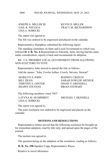JOSEPH A. MILLER III KEVIN D. MILLER LISA A. SOBECKI

### GAIL K. PAVLIGA TRACY M. RICHARDSON

The report was agreed to.

The bill was ordered to be engrossed and placed on the calendar.

Representative Humphrey submitted the following report:

The standing committee on State and Local Government to which was referred **H. J. R. No. 4**-Representatives Edwards, Seitz, having had the same under consideration, reports it back and recommends its adoption.

RE: CA: PROHIBIT LOCAL GOVERNMENT FROM ALLOWING NON-ELECTORS TO VOTE

Representative John moved to amend the title as follows:

Add the names: "John, Fowler Arthur, Creech, Stevens, Stewart"

MARILYN S JOHN RODNEY CREECH SHAWN STEVENS BRIAN STEWART

BILL DEAN SARAH FOWLER ARTHUR TIMOTHY E. GINTER DIANE V. GRENDELL

The following members voted "NO"

LATYNA M. HUMPHREY MICHAEL J. SKINDELL LISA A. SOBECKI

The report was agreed to.

The joint resolution was ordered to be engrossed and placed on the calendar.

### **MOTIONS AND RESOLUTIONS**

Representative Ginter moved that the following resolution be brought up for immediate adoption, read by title only, and spread upon the pages of the journal.

The motion was agreed to.

The question being on the adoption of the resolution, reading as follows:

**H. R. No. 290**-Speaker Cupp, Representative Russo

Relative to travel allowance.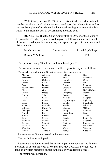WHEREAS, Section 101.27 of the Revised Code provides that each member receive a travel reimbursement based upon the mileage from and to the member's place of residence, by the most direct highway route of public travel to and from the seat of government; therefore be it

RESOLVED, That the Chief Administrative Officer of the House of Representatives is hereby authorized to pay the following member's travel allowance based upon their round-trip mileage as set opposite their name and district number:

| Member's Name      | District Number | Round-Trip Mileage |
|--------------------|-----------------|--------------------|
| Bishara W. Addison |                 | 290                |

The question being, "Shall the resolution be adopted?"

The yeas and nays were taken and resulted – yeas 92, nays 1, as follows:

Those who voted in the affirmative were: Representatives

| Abrams            | Addison      | Baldridge    | Bird            |
|-------------------|--------------|--------------|-----------------|
| <b>Blackshear</b> | <b>Boggs</b> | <b>Brent</b> | <b>Brinkman</b> |
| <b>Brown</b>      | Callender    | Carruthers   | Click           |
| Creech            | Cross        | Cutrona      | Davis           |
| Dean              | Denson       | Edwards      | Ferguson        |
| Fowler Arthur     | Fraizer      | Galonski     | Ghanbari        |
| Ginter            | Gross        | Hall         | Hicks-Hudson    |
| Holmes            | Hoops        | Humphrey     | Ingram          |
| Jarrells          | John         | Johnson      | Jones           |
| Jordan            | Kick         | Koehler      | Lampton         |
| LaRe              | Leland       | Lepore-Hagan | Lightbody       |
| Lipps             | Liston       | Lovchik      | Manchester      |
| Manning           | McClain      | Merrin       | Miller, A.      |
| Miller, J.        | Miller, K.   | Miranda      | O'Brien         |
| Oelslager         | Patton       | Pavliga      | Plummer         |
| Powell            | Ray          | Richardson   | Riedel          |
| Robinson          | Roemer       | Russo        | Schmidt         |
| Seitz             | Sheehy       | Skindell     | Smith, K.       |
| Smith, M.         | Sobecki      | Stein        | Stephens        |
| <b>Stevens</b>    | Stewart      | Stoltzfus    | Swearingen      |
| Sweeney           | Sykes        | Troy         | Upchurch        |
| Weinstein         | West         | White        | Wiggam          |
| Wilkin            | Young, B.    | Young, T.    | $Cupp-92$       |

Representative Grendell voted in the negative-1.

The resolution was adopted.

Representative Jones moved that majority party members asking leave to be absent or absent the week of Wednesday, May 25, 2022, be excused, so long as a written request is on file in the majority leadership offices.

The motion was agreed to.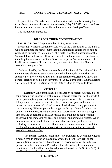Representative Miranda moved that minority party members asking leave to be absent or absent the week of Wednesday, May 25, 2022, be excused, so long as a written request is on file in the minority leadership offices.

The motion was agreed to.

### **BILLS FOR THIRD CONSIDERATION**

**Sub. H. J. R. No. 2**-Representatives LaRe, Swearingen.

Proposing to amend Section 9 of Article I of the Constitution of the State of Ohio to eliminate the requirement that the amount and conditions of bail be established pursuant to Section 5(b) of Article IV of the Constitution of the State of Ohio, and instead allow the courts to use factors such as public safety, including the seriousness of the offense, and a person's criminal record, the likelihood a person will return to court, and any other factor the General Assembly may prescribe.

Be it resolved by the General Assembly of the State of Ohio, three-fifths of the members elected to each house concurring herein, that there shall be submitted to the electors of the state, in the manner prescribed by law at the general election to be held on November 8, 2022, a proposal to amend Section 9 of Article I of the Constitution of the State of Ohio to read as follows:

### **ARTICLE I**

**Section 9.** All persons shall be bailable by sufficient sureties, except for a person who is charged with a capital offense where the proof is evident or the presumption great, and except for a person who is charged with a felony where the proof is evident or the presumption great and where the person poses a substantial risk of serious physical harm to any person or to the community. Where a person is charged with any offense for which the person may be incarcerated, the court may determine at any time the type, amount, and conditions of bail. Excessive bail shall not be required; nor excessive fines imposed; nor cruel and unusual punishments inflicted. When determining the amount of bail, the court shall consider public safety, including the seriousness of the offense, and a person's criminal record, the likelihood a person will return to court, and any other factor the general assembly may prescribe.

The general assembly shall fix by law standards to determine whether a person who is charged with a felony where the proof is evident or the presumption great poses a substantial risk of serious physical harm to any person or to the community. Procedures for establishing the amount and conditions of bail shall be established pursuant to Article IV, Section 5(B) of the Constitution of the State of Ohio.

### EFFECTIVE DATE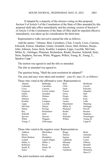If adopted by a majority of the electors voting on this proposal, Section 9 of Article I of the Constitution of the State of Ohio amended by this proposal shall take effect immediately and the existing version of Section 9 of Article I of the Constitution of the State of Ohio shall be repealed effective immediately, was taken up for consideration the third time.

Representative LaRe moved to amend the title as follows:

Add the names: "Abrams, Bird, Carruthers, Click, Creech, Cross, Cutrona, Edwards, Fraizer, Ghanbari, Ginter, Grendell, Gross, Hall, Holmes, Hoops, John, Johnson, Jones, Kick, Koehler, Lampton, Lipps, Loychik, McClain, Miller, K., Oelslager, Plummer, Richardson, Riedel, Roemer, Schmidt, Seitz, Stein, Stephens, Stevens, White, Wiggam, Wilkin, Young, B., Young, T., Speaker Cupp."

The motion was agreed to and the title so amended.

The title as amended was agreed to.

The question being, "Shall the joint resolution be adopted?"

The yeas and nays were taken and resulted – yeas 63, nays 33, as follows:

| Those who voted in the affirmative were: Representatives |           |             |          |
|----------------------------------------------------------|-----------|-------------|----------|
| Abrams                                                   | Baldridge | <b>Bird</b> | Brinkman |
|                                                          |           |             |          |

| Abrams         | Baldridge     | Bird         | Brinkman        |
|----------------|---------------|--------------|-----------------|
| Callender      | Carruthers    | Click        | Creech          |
| Cross          | Cutrona       | Dean         | Edwards         |
| Ferguson       | Fowler Arthur | Fraizer      | Ghanbari        |
| Ginter         | Grendell      | Gross        | Hall            |
| Hillyer        | Holmes        | Hoops        | John            |
| Johnson        | Jones         | Jordan       | Kick            |
| Koehler        | Lampton       | Lanese       | LaRe            |
| Lipps          | Loychik       | Manchester   | Manning         |
| McClain        | Merrin        | Miller, K.   | Oelslager       |
| Patton         | Pavliga       | Plummer      | Powell          |
| Ray            | Richardson    | Riedel       | Roemer          |
| Schmidt        | Seitz         | <b>Stein</b> | <b>Stephens</b> |
| <b>Stevens</b> | Stewart       | Stoltzfus    | Swearingen      |
| White          | Wiggam        | Wilkin       | Young, B.       |
| Young, T.      | Zeltwanger    |              | $Cupp-63$       |
|                |               |              |                 |

Those who voted in the negative were: Representatives

| Addison      | Blackshear   | <b>Boggs</b> | <b>Brent</b>    |
|--------------|--------------|--------------|-----------------|
| <b>Brown</b> | Davis        | Denson       | Galonski        |
| Hicks-Hudson | Humphrey     | Ingram       | Jarrells        |
| Leland       | Lepore-Hagan | Lightbody    | Liston          |
| Miller, A.   | Miller, J.   | Miranda      | O'Brien         |
| Robinson     | Russo        | Sheehy       | <b>Skindell</b> |
| Smith, K.    | Smith, M.    | Sobecki      | Sweeney         |
| Sykes        | <b>Troy</b>  | Upchurch     | Weinstein       |
|              |              |              | West-33         |

The joint resolution was adopted.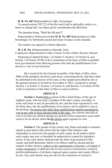**H. B. No. 607**-Representatives LaRe, Swearingen.

To amend section 2937.23 of the Revised Code to add public safety as a factor in setting bail, was taken up for consideration the third time.

The question being, "Shall the bill pass?"

Representative Ginter moved that **H. B. No. 607-**Representatives LaRe, Swearingen, be informally passed and retain its place on the calendar.

The motion was agreed to without objection.

**H. J. R. No. 4**-Representatives Edwards, Seitz.

Cosponsors: Representatives John, Creech, Fowler Arthur, Stevens, Stewart.

Proposing to amend Section 1 of Article V, Section 3 of Article X, and Section 3 of Article XVIII of the Constitution of the State of Ohio to prohibit local governments from allowing persons who lack the qualifications of an elector to vote in local elections.

Be it resolved by the General Assembly of the State of Ohio, threefifths of the members elected to each house concurring herein, that there shall be submitted to the electors of the state, in the manner prescribed by law at the general election to be held on November 8, 2022, a proposal to amend Section 1 of Article V, Section 3 of Article X, and Section 3 of Article XVIII of the Constitution of the State of Ohio to read as follows:

### **ARTICLE V**

**Section 1. Every Only a citizen of the United States, of the age of** eighteen years, who has been a resident of the state, county, township, or ward, such time as may be provided by law, and has been registered to vote for thirty days, has the qualifications of an elector, and is entitled to vote at all elections. No person who lacks those qualifications shall be permitted to vote at any state or local election held in this state. Any elector who fails to vote in at least one election during any period of four consecutive years shall cease to be an elector unless he the elector again registers to vote.

### **ARTICLE X**

**Section 3.** The people of any county may frame and adopt or amend a charter as provided in this article but the right of the initiative and referendum is reserved to the people of each county on all matters which such county may now or hereafter be authorized to control by legislative action. Every such charter shall provide the form of government of the county and shall determine which of its officers shall be elected and the manner of their election, subject to the requirements of Section 1 of Article V of this constitution. It shall provide for the exercise of all powers vested in, and the performance of all duties imposed upon counties and county officers by law. Any such charter may provide for the concurrent or exclusive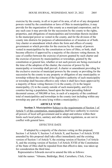exercise by the county, in all or in part of its area, of all or of any designated powers vested by the constitution or laws of Ohio in municipalities; it may provide for the organization of the county as a municipal corporation; and in any such case it may provide for the succession by the county to the rights, properties, and obligations of municipalities and townships therein incident to the municipal power so vested in the county, and for the division of the county into districts for purposes of administration or of taxation or of both. Any charter or amendment which alters the form and offices of county government or which provides for the exercise by the county of powers vested in municipalities by the constitution or laws of Ohio, or both, shall become effective if approved by a majority of the electors voting thereon. In case of conflict between the exercise of powers granted by such charter and the exercise of powers by municipalities or townships, granted by the constitution or general law, whether or not such powers are being exercised at the time of the adoption of the charter, the exercise of power by the municipality or township shall prevail. A charter or amendment providing for the exclusive exercise of municipal powers by the county or providing for the succession by the county to any property or obligation of any municipality or township without the consent of the legislative authority of such municipality or township shall become effective only when it shall have been approved by a majority of those voting thereon (1) in the county, (2) in the largest municipality, (3) in the county outside of such municipality, and (4) in counties having a population, based upon the latest preceding federal decennial census, of 500,000 or less, in each of a majority of the combined total of municipalities and townships in the county (not including within any township any part of its area lying within a municipality.)

### **ARTICLE XVIII**

**Section 3.** Municipalities Subject to the requirements of Section 1 of Article V of this constitution, municipalities shall have authority to exercise all powers of local self-government and to adopt and enforce within their limits such local police, sanitary and other similar regulations, as are not in conflict with general laws.

### EFFECTIVE DATE

If adopted by a majority of the electors voting on this proposal, Section 1 of Article V, Section 3 of Article X, and Section 3 of Article XVIII amended by this proposal shall take effect immediately and the existing version of Section 1 of Article V, the existing version of Section 3 of Article X, and the existing version of Section 3 of Article XVIII of the Constitution of the State of Ohio shall be repealed from that effective date, was taken up for consideration the third time.

Representative Edwards moved to amend the title as follows:

Add the names: "Abrams, Baldridge, Bird, Carruthers, Click, Cross,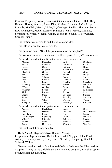Cutrona, Ferguson, Fraizer, Ghanbari, Ginter, Grendell, Gross, Hall, Hillyer, Holmes, Hoops, Johnson, Jones, Kick, Koehler, Lampton, LaRe, Lipps, Loychik, McClain, Merrin, Miller, K., Oelslager, Pavliga, Plummer, Powell, Ray, Richardson, Riedel, Roemer, Schmidt, Stein, Stephens, Stoltzfus, Swearingen, White, Wiggam, Wilkin, Young, B., Young, T., Zeltwanger, Speaker Cupp."

The motion was agreed to and the title so amended.

The title as amended was agreed to.

The question being, "Shall the joint resolution be adopted?"

The yeas and nays were taken and resulted – yeas 68, nays 28, as follows:

| Abrams       | Baldridge  | Bird                                                  | <b>Brinkman</b> |
|--------------|------------|-------------------------------------------------------|-----------------|
| <b>Brown</b> | Callender  | Carruthers                                            | Click           |
| Creech       | Cross      | Cutrona                                               | Dean            |
| Edwards      | Ferguson   | Fowler Arthur                                         | Fraizer         |
| Ghanbari     | Ginter     | Grendell                                              | Gross           |
| Hall         | Hillyer    | Holmes                                                | Hoops           |
| John         | Johnson    | Jones                                                 | Jordan          |
| Kick         | Koehler    | Lampton                                               | Lanese          |
| LaRe         | Lipps      | Loychik                                               | Manchester      |
| Manning      | McClain    | Merrin                                                | Miller, K.      |
| O'Brien      | Oelslager  | Patton                                                | Pavliga         |
| Plummer      | Powell     | Ray                                                   | Richardson      |
| Riedel       | Roemer     | Schmidt                                               | Seitz           |
| Sheehy       | Stein      | <b>Stephens</b>                                       | <b>Stevens</b>  |
| Stewart      | Stoltzfus  | Swearingen                                            | Sweeney         |
| Troy         | White      | Wiggam                                                | Wilkin          |
| Young, B.    | Young, T.  | Zeltwanger                                            | Cupp-68         |
|              |            | Those who voted in the negative were: Representatives |                 |
| Addison      | Blackshear | <b>Boggs</b>                                          | <b>Brent</b>    |
| Davis        | Denson     | Galonski                                              | Hicks-Hudson    |
| Humphrey     | Ingram     | Jarrells                                              | Leland          |
| Lepore-Hagan | Lightbody  | Liston                                                | Miller, A.      |
| Miller, J.   | Miranda    | Robinson                                              | Russo           |
| Skindell     | Smith, K.  | Smith, M.                                             | Sobecki         |
| Sykes        | Upchurch   | Weinstein                                             | West-28         |

Those who voted in the affirmative were: Representatives

The joint resolution was adopted.

**H. B. No. 423**-Representatives Roemer, Young, B.

Cosponsors: Representatives Bird, Click, Riedel, Wiggam, John, Fowler Arthur, Callender, Creech, Dean, Ginter, Grendell, Humphrey, Skindell, Sobecki, Wilkin.

To enact section 5.076 of the Revised Code to designate the All-American Soap Box Derby as the official state gravity racing program, was taken up for consideration the third time.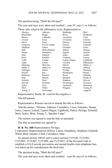The question being, "Shall the bill pass?"

The yeas and nays were taken and resulted – yeas 95, nays 1, as follows:

Those who voted in the affirmative were: Representatives

| Abrams            | Addison       | Baldridge       | Bird            |
|-------------------|---------------|-----------------|-----------------|
| <b>Blackshear</b> | Boggs         | <b>Brent</b>    | <b>Brinkman</b> |
| <b>Brown</b>      | Callender     | Carruthers      | Click           |
| Creech            | Cross         | Crossman        | Cutrona         |
| Davis             | Dean          | Denson          | Edwards         |
| Ferguson          | Fowler Arthur | Fraizer         | Galonski        |
| Ghanbari          | Ginter        | Grendell        | Gross           |
| Hall              | Hicks-Hudson  | Hillyer         | Holmes          |
| Hoops             | Humphrey      | Ingram          | Jarrells        |
| John              | Johnson       | Jones           | Jordan          |
| Kick              | Koehler       | Lampton         | Lanese          |
| LaRe              | Leland        | Lepore-Hagan    | Lightbody       |
| Lipps             | Liston        | Lovchik         | Manchester      |
| Manning           | McClain       | Merrin          | Miller, A.      |
| Miller, J.        | Miller, K.    | Miranda         | O'Brien         |
| Oelslager         | Patton        | Pavliga         | Plummer         |
| Powell            | Ray           | Richardson      | Riedel          |
| Robinson          | Roemer        | Russo           | Schmidt         |
| Seitz             | Sheehy        | Skindell        | Smith, K.       |
| Sobecki           | Stein         | <b>Stephens</b> | <b>Stevens</b>  |
| Stewart           | Stoltzfus     | Swearingen      | Sweeney         |
| Sykes             | Troy          | Upchurch        | Weinstein       |
| West              | White         | Wiggam          | Young, B.       |
| Young, T.         | Zeltwanger    |                 | $Cupp-95$       |

Representative Smith, M. voted in the negative-1.

The bill passed.

Representative Roemer moved to amend the title as follows:

Add the names: "Abrams, Addison, Carruthers, Cross, Galonski, Hoops, Jones, Lanese, Leland, Lepore-Hagan, Lightbody, Patton, Pavliga, Schmidt, Stein, Sykes, West, Young, T., Speaker Cupp."

The motion was agreed to and the title so amended.

The title as amended was agreed to.

**H. B. No. 468**-Representative Pavliga.

Cosponsors: Representatives Hillyer, Liston, Humphrey, Stephens, Schmidt, White, Bird, Abrams, Click, Carruthers, John.

To amend section 340.03 and to enact sections 5119.80, 5119.801, 5119.803, 5119.807, 5119.809, and 5119.8011 of the Revised Code to establish a 9-8-8 suicide prevention and mental health crisis telephone line, was taken up for consideration the third time.

The question being, "Shall the bill pass?"

The yeas and nays were taken and resulted – yeas 96, nays 0, as follows: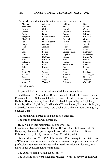|                | nose who voice in the annihiative were. Representatives |              |                 |
|----------------|---------------------------------------------------------|--------------|-----------------|
| Abrams         | Addison                                                 | Baldridge    | Bird            |
| Blackshear     | Boggs                                                   | <b>Brent</b> | <b>Brinkman</b> |
| <b>Brown</b>   | Callender                                               | Carruthers   | Click           |
| Creech         | Cross                                                   | Crossman     | Cutrona         |
| Davis          | Dean                                                    | Denson       | Edwards         |
| Ferguson       | Fowler Arthur                                           | Fraizer      | Galonski        |
| Ghanbari       | Ginter                                                  | Grendell     | Gross           |
| Hall           | Hicks-Hudson                                            | Hillyer      | Holmes          |
| Hoops          | Humphrey                                                | Ingram       | Jarrells        |
| John           | Johnson                                                 | Jones        | Jordan          |
| Kick           | Koehler                                                 | Lampton      | Lanese          |
| LaRe           | Leland                                                  | Lepore-Hagan | Lightbody       |
| Lipps          | Liston                                                  | Loychik      | Manchester      |
| Manning        | McClain                                                 | Merrin       | Miller, A.      |
| Miller, J.     | Miller, K.                                              | Miranda      | O'Brien         |
| Oelslager      | Patton                                                  | Pavliga      | Plummer         |
| Powell         | Ray                                                     | Richardson   | Riedel          |
| Robinson       | Roemer                                                  | Russo        | Schmidt         |
| Seitz          | Sheehy                                                  | Skindell     | Smith, K.       |
| Smith, M.      | Sobecki                                                 | Stein        | <b>Stephens</b> |
| <b>Stevens</b> | Stewart                                                 | Stoltzfus    | Swearingen      |
| Sweeney        | Sykes                                                   | Troy         | Upchurch        |
| Weinstein      | West                                                    | White        | Wiggam          |
| Young, B.      | Young, T.                                               | Zeltwanger   | Cupp-96         |
|                |                                                         |              |                 |

The bill passed.

Representative Pavliga moved to amend the title as follows:

Add the names: "Blackshear, Brent, Brown, Callender, Crossman, Davis, Edwards, Fraizer, Galonski, Ghanbari, Ginter, Grendell, Gross, Hall, Hicks-Hudson, Hoops, Jarrells, Jones, LaRe, Leland, Lepore-Hagan, Lightbody, Loychik, Miller, A., Miller, J., Miranda, O'Brien, Patton, Plummer, Smith, K., Sobecki, Stevens, Swearingen, Troy, Upchurch, Weinstein, West, Young, T., Speaker Cupp."

The motion was agreed to and the title so amended.

The title as amended was agreed to.

**H. B. No. 554**-Representatives Lightbody, Bird. Cosponsors: Representatives Miller, A., Brown, Click, Galonski, Hillyer, Humphrey, Lanese, Lepore-Hagan, Liston, Merrin, Miller, J., O'Brien, Robinson, Seitz, Sheehy, Sobecki, Troy, Weinstein, White.

To amend section 3319.222 of the Revised Code to require the State Board of Education to issue temporary educator licenses to applicants with expired professional teacher's certificates and professional educator licenses, was taken up for consideration the third time.

The question being, "Shall the bill pass?"

The yeas and nays were taken and resulted – yeas 95, nays 0, as follows: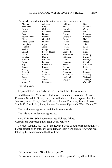| hose who voted in the affirmative were: Representatives |              |              |                 |
|---------------------------------------------------------|--------------|--------------|-----------------|
| Abrams                                                  | Addison      | Baldridge    | Bird            |
| <b>Blackshear</b>                                       | <b>Boggs</b> | <b>Brent</b> | <b>Brinkman</b> |
| <b>Brown</b>                                            | Callender    | Carruthers   | Click           |
| Cross                                                   | Crossman     | Cutrona      | Davis           |
| Dean                                                    | Denson       | Edwards      | Ferguson        |
| Fowler Arthur                                           | Fraizer      | Galonski     | Ghanbari        |
| Ginter                                                  | Grendell     | Gross        | Hall            |
| Hicks-Hudson                                            | Hillyer      | Holmes       | Hoops           |
| Humphrey                                                | Ingram       | Jarrells     | John            |
| Johnson                                                 | Jones        | Jordan       | Kick            |
| Koehler                                                 | Lampton      | Lanese       | LaRe            |
| Leland                                                  | Lepore-Hagan | Lightbody    | Lipps           |
| Liston                                                  | Loychik      | Manchester   | Manning         |
| McClain                                                 | Merrin       | Miller, A.   | Miller, J.      |
| Miller, K.                                              | Miranda      | O'Brien      | Oelslager       |
| Patton                                                  | Pavliga      | Plummer      | Powell          |
| Ray                                                     | Richardson   | Riedel       | Robinson        |
| Roemer                                                  | Russo        | Schmidt      | Seitz           |
| Sheehy                                                  | Skindell     | Smith, K.    | Smith, M.       |
| Sobecki                                                 | Stein        | Stephens     | <b>Stevens</b>  |
| Stewart                                                 | Stoltzfus    | Swearingen   | Sweeney         |
| Sykes                                                   | Troy         | Upchurch     | Weinstein       |
| West                                                    | White        | Wiggam       | Young, B.       |
| Young, T.                                               | Zeltwanger   |              | $Cupp-95$       |
|                                                         |              |              |                 |

|  |  |  |  |  |  | Those who voted in the affirmative were: Representatives |
|--|--|--|--|--|--|----------------------------------------------------------|
|--|--|--|--|--|--|----------------------------------------------------------|

The bill passed.

Representative Lightbody moved to amend the title as follows:

Add the names: "Addison, Blackshear, Callender, Crossman, Denson, Edwards, Grendell, Gross, Hall, Hicks-Hudson, Holmes, Ingram, Jarrells, Johnson, Jones, Kick, Leland, Miranda, Patton, Plummer, Riedel, Russo, Smith, K., Smith, M., Stein, Stevens, Sweeney, Upchurch, West, Young, T."

The motion was agreed to and the title so amended.

The title as amended was agreed to.

**Am. H. B. No. 569**-Representatives Holmes, White. Cosponsors: Representatives Hall, John, Miller, J.

To enact section 3333.421 of the Revised Code to authorize institutions of higher education to establish Ohio Hidden Hero Scholarship Programs, was taken up for consideration the third time.

The question being, "Shall the bill pass?"

The yeas and nays were taken and resulted – yeas 95, nays 0, as follows: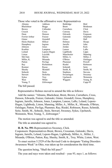| nose who voicu in the annihiative were. Representatives |              |                 |                |
|---------------------------------------------------------|--------------|-----------------|----------------|
| Abrams                                                  | Addison      | Baldridge       | Bird           |
| <b>Blackshear</b>                                       | Boggs        | <b>Brent</b>    | Brinkman       |
| <b>Brown</b>                                            | Callender    | Carruthers      | Click          |
| Creech                                                  | Cross        | Cutrona         | Davis          |
| Dean                                                    | Denson       | Edwards         | Ferguson       |
| Fowler Arthur                                           | Fraizer      | Galonski        | Ghanbari       |
| Ginter                                                  | Grendell     | Gross           | Hall           |
| Hicks-Hudson                                            | Hillyer      | Holmes          | Hoops          |
| Humphrey                                                | Ingram       | Jarrells        | John           |
| Johnson                                                 | Jones        | Jordan          | Kick           |
| Koehler                                                 | Lampton      | Lanese          | LaRe           |
| Leland                                                  | Lepore-Hagan | Lightbody       | Lipps          |
| Liston                                                  | Loychik      | Manchester      | Manning        |
| McClain                                                 | Merrin       | Miller, A.      | Miller, J.     |
| Miller, K.                                              | Miranda      | O'Brien         | Oelslager      |
| Patton                                                  | Pavliga      | Plummer         | Powell         |
| Ray                                                     | Richardson   | Riedel          | Robinson       |
| Roemer                                                  | Russo        | Schmidt         | Seitz          |
| Sheehy                                                  | Skindell     | Smith, K.       | Smith, M.      |
| Sobecki                                                 | Stein        | <b>Stephens</b> | <b>Stevens</b> |
| Stewart                                                 | Stoltzfus    | Swearingen      | Sweeney        |
| Sykes                                                   | Troy         | Upchurch        | Weinstein      |
| West                                                    | White        | Wiggam          | Young, B.      |
| Young, T.                                               | Zeltwanger   |                 | $Cupp-95$      |
|                                                         |              |                 |                |

The bill passed.

Representative Holmes moved to amend the title as follows:

Add the names: "Abrams, Blackshear, Brent, Brown, Carruthers, Cross, Denson, Edwards, Fraizer, Galonski, Ginter, Grendell, Gross, Humphrey, Ingram, Jarrells, Johnson, Jones, Lampton, Lanese, LaRe, Leland, Lepore-Hagan, Lightbody, Liston, Manning, Miller, A., Miller, K., Miranda, O'Brien, Oelslager, Patton, Pavliga, Plummer, Ray, Riedel, Robinson, Russo, Schmidt, Seitz, Smith, M., Sobecki, Stein, Stewart, Sweeney, Sykes, Upchurch, Weinstein, West, Young, T., Zeltwanger."

The motion was agreed to and the title so amended.

The title as amended was agreed to.

**H. B. No. 591**-Representatives Sweeney, Click.

Cosponsors: Representatives Brent, Brown, Crossman, Galonski, Davis, Ingram, Jarrells, Leland, Lepore-Hagan, Lightbody, Miller, A., Miller, J., Miranda, O'Brien, Patton, Ray, Sheehy, Smith, K., Troy, White, Liston, West.

To enact section 5.2529 of the Revised Code to designate "Eating Disorders Awareness Week" in Ohio, was taken up for consideration the third time.

The question being, "Shall the bill pass?"

The yeas and nays were taken and resulted – yeas 93, nays 1, as follows: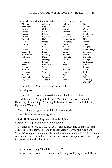|                   | hose who voted in the affirmative were: Representatives |              |                 |
|-------------------|---------------------------------------------------------|--------------|-----------------|
| Abrams            | Addison                                                 | Baldridge    | Bird            |
| <b>Blackshear</b> | Boggs                                                   | <b>Brent</b> | <b>Brinkman</b> |
| <b>Brown</b>      | Callender                                               | Carruthers   | Click           |
| Creech            | Cross                                                   | Cutrona      | Davis           |
| Denson            | Edwards                                                 | Ferguson     | Fowler Arthur   |
| Fraizer           | Galonski                                                | Ghanbari     | Ginter          |
| Grendell          | Hall                                                    | Hicks-Hudson | Hillyer         |
| Holmes            | Hoops                                                   | Humphrey     | Ingram          |
| Jarrells          | John                                                    | Johnson      | Jones           |
| Jordan            | Kick                                                    | Koehler      | Lampton         |
| Lanese            | LaRe                                                    | Leland       | Lepore-Hagan    |
| Lightbody         | Lipps                                                   | Liston       | Loychik         |
| Manchester        | Manning                                                 | McClain      | Merrin          |
| Miller, A.        | Miller, J.                                              | Miller, K.   | Miranda         |
| O'Brien           | Oelslager                                               | Patton       | Pavliga         |
| Plummer           | Powell                                                  | Ray          | Richardson      |
| Riedel            | Robinson                                                | Roemer       | Russo           |
| Schmidt           | Seitz                                                   | Sheehy       | Skindell        |
| Smith, K.         | Smith, M.                                               | Sobecki      | Stein           |
| <b>Stephens</b>   | <b>Stevens</b>                                          | Stewart      | Stoltzfus       |
| Swearingen        | Sweeney                                                 | Sykes        | Troy            |
| Upchurch          | Weinstein                                               | West         | White           |
| Wiggam            | Young, B.                                               | Young, T.    | Zeltwanger      |
|                   |                                                         |              | Cupp-93         |

Representative Dean voted in the negative-1.

The bill passed.

Representative Sweeney moved to amend the title as follows:

Add the names: "Boggs, Callender, Carruthers, Denson, Grendell, Humphrey, Jones, Lipps, Manning, Robinson, Russo, Skindell, Sobecki, Upchurch, Weinstein."

The motion was agreed to and the title so amended.

The title as amended was agreed to.

**Sub. H. B. No. 606**-Representatives Bird, Ingram. Cosponsors: Representatives Manning, Click.

To amend sections 3314.03, 3326.11, and 3328.24 and to enact section 3313.7117 of the Revised Code to enact "Sarah's Law for Seizure Safe Schools" to require public and chartered nonpublic schools to create a seizure action plan for each student with a seizure disorder or epilepsy, was taken up for consideration the third time.

The question being, "Shall the bill pass?"

The yeas and nays were taken and resulted – yeas 93, nays 1, as follows: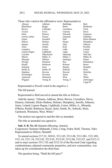|                 |                | lose who voled in the annihilative were. Representatives |                 |
|-----------------|----------------|----------------------------------------------------------|-----------------|
| Abrams          | Addison        | Baldridge                                                | Bird            |
| Blackshear      | Boggs          | <b>Brent</b>                                             | <b>Brinkman</b> |
| <b>Brown</b>    | Callender      | Carruthers                                               | Click           |
| Creech          | Cross          | Cutrona                                                  | Davis           |
| Dean            | Denson         | Edwards                                                  | Ferguson        |
| Fowler Arthur   | Fraizer        | Galonski                                                 | Ghanbari        |
| Ginter          | Grendell       | Hall                                                     | Hicks-Hudson    |
| Hillyer         | Holmes         | Hoops                                                    | Humphrey        |
| Ingram          | Jarrells       | John                                                     | Johnson         |
| Jones           | Jordan         | Kick                                                     | Koehler         |
| Lampton         | Lanese         | LaRe                                                     | Leland          |
| Lepore-Hagan    | Lightbody      | Lipps                                                    | Liston          |
| Loychik         | Manchester     | Manning                                                  | McClain         |
| Merrin          | Miller, A.     | Miller, J.                                               | Miller, K.      |
| Miranda         | O'Brien        | Oelslager                                                | Patton          |
| Pavliga         | Plummer        | Ray                                                      | Richardson      |
| Riedel          | Robinson       | Roemer                                                   | Russo           |
| Schmidt         | Seitz          | Sheehy                                                   | Skindell        |
| Smith, K.       | Smith, M.      | Sobecki                                                  | Stein           |
| <b>Stephens</b> | <b>Stevens</b> | <b>Stewart</b>                                           | Stoltzfus       |
| Swearingen      | Sweeney        | Sykes                                                    | Troy            |
| Upchurch        | Weinstein      | West                                                     | White           |
| Wiggam          | Young, B.      | Young, T.                                                | Zeltwanger      |
|                 |                |                                                          | $Cupp-93$       |

Representative Powell voted in the negative-1.

The bill passed.

Representative Bird moved to amend the title as follows:

Add the names: "Abrams, Addison, Brent, Brown, Carruthers, Davis, Denson, Galonski, Hicks-Hudson, Holmes, Humphrey, Jarrells, Johnson, Jones, Leland, Lepore-Hagan, Lightbody, Liston, Miller, A., Miranda, O'Brien, Riedel, Robinson, Russo, Seitz, Smith, M., Sobecki, Stein, Upchurch, Weinstein, West, White."

The motion was agreed to and the title so amended.

The title as amended was agreed to.

**Sub. S. B. No. 61**-Senators Blessing, Antonio.

Cosponsors: Senators Maharath, Cirino, Craig, Fedor, Rulli, Thomas, Yuko Representatives Hillyer, Skindell.

To amend sections 317.32, 349.01, 5311.05, 5311.08, 5311.081, 5311.091, 5311.16, 5311.18, 5312.02, 5312.03, 5312.05, 5312.06, 5312.07, and 5312.11 and to enact sections 5311.192 and 5312.16 of the Revised Code regarding condominiums, planned community properties, and new communities, was taken up for consideration the third time.

The question being, "Shall the bill pass?"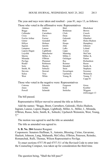| Those who voted in the affirmative were: Representatives |                 |                  |                   |  |
|----------------------------------------------------------|-----------------|------------------|-------------------|--|
| Abrams                                                   | Addison         | <b>Bird</b>      | <b>Blackshear</b> |  |
| <b>Boggs</b>                                             | <b>Brent</b>    | <b>Brinkman</b>  | <b>Brown</b>      |  |
| Callender                                                | Carruthers      | Click            | Creech            |  |
| Cross                                                    | Davis           | Dean             | Denson            |  |
| <b>Fowler Arthur</b>                                     | Fraizer         | Galonski         | Ghanbari          |  |
| Ginter                                                   | Grendell        | Hall             | Hicks-Hudson      |  |
| Hillyer                                                  | Holmes          | Hoops            | Humphrey          |  |
| Ingram                                                   | <b>Jarrells</b> | John             | Johnson           |  |
| Lampton                                                  | Lanese          | LaRe             | Leland            |  |
| Lepore-Hagan                                             | Lightbody       | Lipps            | Liston            |  |
| Loychik                                                  | Manchester      | Manning          | McClain           |  |
| Merrin                                                   | Miller, A.      | Miller, J.       | Miller, K.        |  |
| Miranda                                                  | O'Brien         | Oelslager        | Patton            |  |
| Pavliga                                                  | Plummer         | Ray              | Richardson        |  |
| Riedel                                                   | Robinson        | Roemer           | Russo             |  |
| <b>Seitz</b>                                             | Sheehy          | <b>Skindell</b>  | Smith, K.         |  |
| Smith, M.                                                | Sobecki         | Stein            | Stephens          |  |
| <b>Stevens</b>                                           | Stewart         | Swearingen       | Sweeney           |  |
| Sykes                                                    | Troy            | Upchurch         | Weinstein         |  |
| West                                                     | White           | Young, B.        | Young, T.         |  |
|                                                          |                 |                  | $Cupp-81$         |  |
| Those who voted in the negative were: Representatives    |                 |                  |                   |  |
| Cutrona                                                  | Edwards         | Ferguson         | Gross             |  |
| Jones                                                    | Jordan          | Kick             | Koehler           |  |
| Powell                                                   | Schmidt         | <b>Stoltzfus</b> | Wiggam            |  |
|                                                          |                 |                  | Zeltwanger-13     |  |

The yeas and nays were taken and resulted – yeas 81, nays 13, as follows:

The bill passed.

Representative Hillyer moved to amend the title as follows:

Add the names: "Boggs, Brent, Carruthers, Galonski, Hicks-Hudson, Ingram, Lanese, Lepore-Hagan, Lightbody, Miller, A., Miller, J., Miranda, O'Brien, Russo, Seitz, Smith, K., Sobecki, Upchurch Weinstein, West, Young, T."

The motion was agreed to and the title so amended.

The title as amended was agreed to.

### **S. B. No. 204**-Senator Roegner.

Cosponsors: Senators Huffman, S., Antonio, Blessing, Cirino, Gavarone, Hackett, Johnson, Lang, Maharath, McColley, O'Brien, Peterson, Reineke, Romanchuk, Rulli, Thomas, Wilson Representative Pavliga.

To enact sections 4757.50 and 4757.511 of the Revised Code to enter into the Counseling Compact, was taken up for consideration the third time.

The question being, "Shall the bill pass?"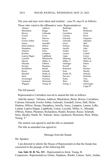|               | nose who voted in the annimative were. Representatives |                |                 |
|---------------|--------------------------------------------------------|----------------|-----------------|
| Abrams        | Addison                                                | Baldridge      | Bird            |
| Blackshear    | Boggs                                                  | <b>Brent</b>   | <b>Brinkman</b> |
| Brown         | Callender                                              | Carruthers     | Click           |
| Creech        | Cross                                                  | Cutrona        | Davis           |
| Dean          | Denson                                                 | Edwards        | Ferguson        |
| Fowler Arthur | Fraizer                                                | Galonski       | Ghanbari        |
| Ginter        | Grendell                                               | Gross          | Hall            |
| Hicks-Hudson  | Hillyer                                                | Holmes         | <b>Hoops</b>    |
| Humphrey      | Ingram                                                 | Jarrells       | John            |
| Johnson       | Jones                                                  | Jordan         | Kick            |
| Koehler       | Lampton                                                | Lanese         | Leland          |
| Lepore-Hagan  | Lightbody                                              | Lipps          | Liston          |
| Loychik       | Manchester                                             | Manning        | McClain         |
| Merrin        | Miller, A.                                             | Miller, J.     | Miller, K.      |
| Miranda       | O'Brien                                                | Oelslager      | Patton          |
| Pavliga       | Plummer                                                | Powell         | Ray             |
| Richardson    | Riedel                                                 | Robinson       | Roemer          |
| Russo         | Schmidt                                                | Seitz          | Sheehy          |
| Skindell      | Smith, K.                                              | Smith, M.      | Sobecki         |
| Stein         | Stephens                                               | <b>Stevens</b> | Stoltzfus       |
| Swearingen    | Sweeney                                                | Sykes          | Troy            |
| Upchurch      | Weinstein                                              | West           | White           |
| Wiggam        | Young, B.                                              | Young, T.      | Zeltwanger      |
|               |                                                        |                | $Cupp-93$       |

The yeas and nays were taken and resulted – yeas 93, nays 0, as follows: Those who voted in the affirmative were: Representatives

The bill passed.

Representative Carruthers moved to amend the title as follows:

Add the names: "Abrams, Addison, Blackshear, Brent, Brown, Carruthers, Cutrona, Edwards, Fowler Arthur, Galonski, Grendell, Gross, Hall, Hicks-Hudson, Hillyer, Hoops, Humphrey, Jarrells, Jones, Lampton, Lanese, LaRe, Leland, Lepore-Hagan, Lightbody, Liston, Loychik, Miller, A., Miranda, O'Brien, Patton, Plummer, Richardson, Riedel, Roemer, Russo, Schmidt, Seitz, Sheehy, Smith, M., Sobecki, Stein, Upchurch, Weinstein, West, White, Young, T."

The motion was agreed to and the title so amended.

The title as amended was agreed to.

Message from the Senate

Mr. Speaker:

I am directed to inform the House of Representatives that the Senate has concurred in the passage of the following bill:

**Am. Sub. H. B. No. 321** - Representatives Kick, Young, B. Cosponsors: Representatives Ginter, Stephens, Riedel, Lanese, Seitz, Jordan,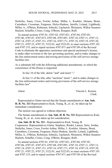Stoltzfus, Jones, Cross, Fowler Arthur, Miller, J., Koehler, Abrams, Brent, Carruthers, Crossman, Ferguson, Hicks-Hudson, Jarrells, Leland, Lightbody, Miller, A., O'Brien, Robinson, Sobecki, Upchurch, Weinstein, Wilkin Senators Hackett, Schaffer, Cirino, Craig, O'Brien, Roegner, Rulli

To amend sections 4707.01, 4707.02, 4707.021, 4707.04, 4707.05, 4707.06, 4707.07, 4707.073, 4707.08, 4707.091, 4707.10, 4707.11, 4707.12, 4707.14, 4707.15, 4707.151, 4707.16, 4707.171, 4707.18, 4707.19, 4707.20, 4707.21, 4707.22, 4707.25, 5322.01, and 5322.03; to enact sections 4707.101 and 4707.153; and to repeal sections 4707.071 and 4707.09 of the Revised Code to eliminate the apprentice auctioneer and special auctioneer's license, to make other revisions to the law governing auctions, and to make changes to the lien enforcement notice and towing provisions of the self-service storage facilities law.

As a substitute bill with the following additional amendments, in which the concurrence of the House is requested.

In line 10 of the title, delete "and" and insert ","

In line 11 of the title, after "auctions" insert ", and to make changes to the lien enforcement notice and towing provisions of the self-service storage facilities law"

Attest: Vincent L. Keeran, Clerk.

Representative Ginter moved that the Senate amendments to **Am. Sub. H. B. No. 321-**Representatives Kick, Young, B.**,** et. al., be taken up for immediate consideration.

The motion was agreed to without objection.

The Senate amendments to **Am. Sub. H. B. No. 321**-Representatives Kick, Young, B.**,** et. al., were taken up for consideration.

**Am. Sub. H. B. No. 321 -** Representatives Kick, Young, B. Cosponsors: Representatives Ginter, Stephens, Riedel, Lanese, Seitz, Jordan, Stoltzfus, Jones, Cross, Fowler Arthur, Miller, J., Koehler, Abrams, Brent, Carruthers, Crossman, Ferguson, Hicks-Hudson, Jarrells, Leland, Lightbody, Miller, A., O'Brien, Robinson, Sobecki, Upchurch, Weinstein, Wilkin Senators Hackett, Schaffer, Cirino, Craig, O'Brien, Roegner, Rulli.

To amend sections 4707.01, 4707.02, 4707.021, 4707.04, 4707.05, 4707.06, 4707.07, 4707.073, 4707.08, 4707.091, 4707.10, 4707.11, 4707.12, 4707.14, 4707.15, 4707.151, 4707.16, 4707.171, 4707.18, 4707.19, 4707.20, 4707.21, 4707.22, 4707.25, 5322.01, and 5322.03; to enact sections 4707.101 and 4707.153; and to repeal sections 4707.071 and 4707.09 of the Revised